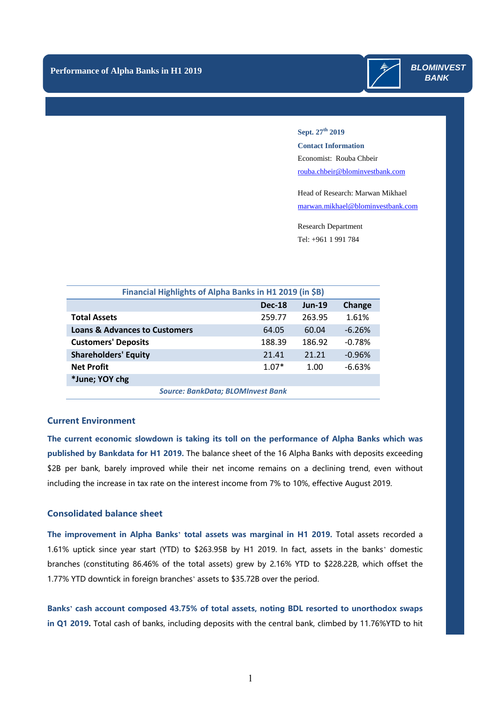

#### **Sept. 27th 2019**

**Contact Information** Economist: Rouba Chbeir [rouba.chbeir@blominvestbank.com](mailto:rouba.chbeir@blominvestbank.com)

Head of Research: Marwan Mikhael [marwan.mikhael@blominvestbank.com](mailto:marwan.mikhael@blominvestbank.com)

Research Department Tel: +961 1 991 784

| Financial Highlights of Alpha Banks in H1 2019 (in \$B) |               |          |          |
|---------------------------------------------------------|---------------|----------|----------|
|                                                         | <b>Dec-18</b> | $Jun-19$ | Change   |
| <b>Total Assets</b>                                     | 259.77        | 263.95   | 1.61%    |
| <b>Loans &amp; Advances to Customers</b>                | 64.05         | 60.04    | $-6.26%$ |
| <b>Customers' Deposits</b>                              | 188.39        | 186.92   | $-0.78%$ |
| <b>Shareholders' Equity</b>                             | 21.41         | 21.21    | $-0.96%$ |
| <b>Net Profit</b>                                       | $1.07*$       | 1.00     | $-6.63%$ |
| *June; YOY chg                                          |               |          |          |
| <b>Source: BankData; BLOMInvest Bank</b>                |               |          |          |

## **Current Environment**

**The current economic slowdown is taking its toll on the performance of Alpha Banks which was published by Bankdata for H1 2019.** The balance sheet of the 16 Alpha Banks with deposits exceeding \$2B per bank, barely improved while their net income remains on a declining trend, even without including the increase in tax rate on the interest income from 7% to 10%, effective August 2019.

## **Consolidated balance sheet**

**The improvement in Alpha Banks' total assets was marginal in H1 2019.** Total assets recorded a 1.61% uptick since year start (YTD) to \$263.95B by H1 2019. In fact, assets in the banks' domestic branches (constituting 86.46% of the total assets) grew by 2.16% YTD to \$228.22B, which offset the 1.77% YTD downtick in foreign branches' assets to \$35.72B over the period.

**Banks' cash account composed 43.75% of total assets, noting BDL resorted to unorthodox swaps in Q1 2019.** Total cash of banks, including deposits with the central bank, climbed by 11.76%YTD to hit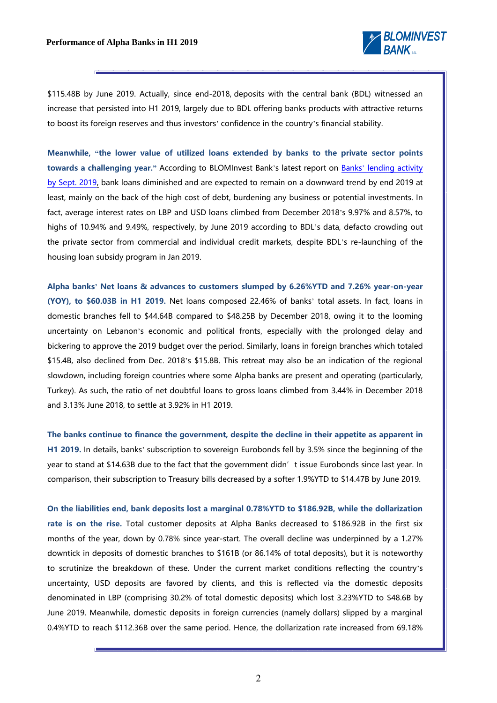

\$115.48B by June 2019. Actually, since end-2018, deposits with the central bank (BDL) witnessed an increase that persisted into H1 2019, largely due to BDL offering banks products with attractive returns to boost its foreign reserves and thus investors' confidence in the country's financial stability.

**Meanwhile, "the lower value of utilized loans extended by banks to the private sector points towards a challenging year."** According to BLOMInvest Bank's latest report on Banks' [lending activity](https://blog.blominvestbank.com/wp-content/uploads/2019/09/Slower-Lending-in-2019-Points-towards-a-Challenging-Year.pdf)  [by Sept. 2019,](https://blog.blominvestbank.com/wp-content/uploads/2019/09/Slower-Lending-in-2019-Points-towards-a-Challenging-Year.pdf) bank loans diminished and are expected to remain on a downward trend by end 2019 at least, mainly on the back of the high cost of debt, burdening any business or potential investments. In fact, average interest rates on LBP and USD loans climbed from December 2018's 9.97% and 8.57%, to highs of 10.94% and 9.49%, respectively, by June 2019 according to BDL's data, defacto crowding out the private sector from commercial and individual credit markets, despite BDL's re-launching of the housing loan subsidy program in Jan 2019.

**Alpha banks' Net loans & advances to customers slumped by 6.26%YTD and 7.26% year-on-year (YOY), to \$60.03B in H1 2019.** Net loans composed 22.46% of banks' total assets. In fact, loans in domestic branches fell to \$44.64B compared to \$48.25B by December 2018, owing it to the looming uncertainty on Lebanon's economic and political fronts, especially with the prolonged delay and bickering to approve the 2019 budget over the period. Similarly, loans in foreign branches which totaled \$15.4B, also declined from Dec. 2018's \$15.8B. This retreat may also be an indication of the regional slowdown, including foreign countries where some Alpha banks are present and operating (particularly, Turkey). As such, the ratio of net doubtful loans to gross loans climbed from 3.44% in December 2018 and 3.13% June 2018, to settle at 3.92% in H1 2019.

**The banks continue to finance the government, despite the decline in their appetite as apparent in H1 2019.** In details, banks' subscription to sovereign Eurobonds fell by 3.5% since the beginning of the year to stand at \$14.63B due to the fact that the government didn't issue Eurobonds since last year. In comparison, their subscription to Treasury bills decreased by a softer 1.9%YTD to \$14.47B by June 2019.

**On the liabilities end, bank deposits lost a marginal 0.78%YTD to \$186.92B, while the dollarization rate is on the rise.** Total customer deposits at Alpha Banks decreased to \$186.92B in the first six months of the year, down by 0.78% since year-start. The overall decline was underpinned by a 1.27% downtick in deposits of domestic branches to \$161B (or 86.14% of total deposits), but it is noteworthy to scrutinize the breakdown of these. Under the current market conditions reflecting the country's uncertainty, USD deposits are favored by clients, and this is reflected via the domestic deposits denominated in LBP (comprising 30.2% of total domestic deposits) which lost 3.23%YTD to \$48.6B by June 2019. Meanwhile, domestic deposits in foreign currencies (namely dollars) slipped by a marginal 0.4%YTD to reach \$112.36B over the same period. Hence, the dollarization rate increased from 69.18%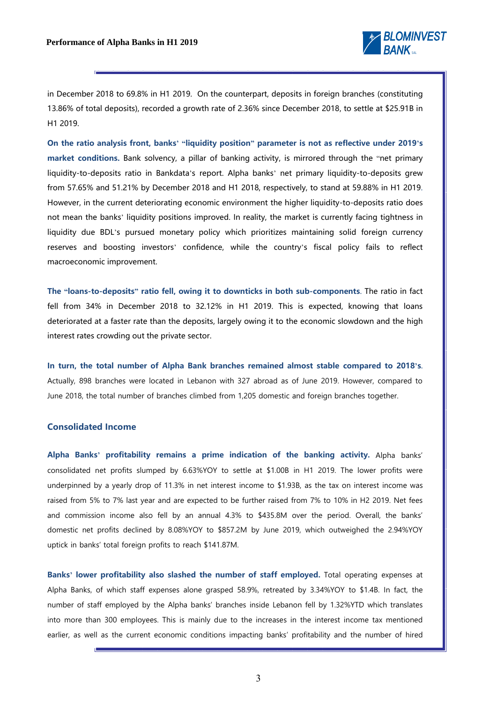

in December 2018 to 69.8% in H1 2019. On the counterpart, deposits in foreign branches (constituting 13.86% of total deposits), recorded a growth rate of 2.36% since December 2018, to settle at \$25.91B in H1 2019.

**On the ratio analysis front, banks' "liquidity position" parameter is not as reflective under 2019's market conditions.** Bank solvency, a pillar of banking activity, is mirrored through the "net primary liquidity-to-deposits ratio in Bankdata's report. Alpha banks' net primary liquidity-to-deposits grew from 57.65% and 51.21% by December 2018 and H1 2018, respectively, to stand at 59.88% in H1 2019. However, in the current deteriorating economic environment the higher liquidity-to-deposits ratio does not mean the banks' liquidity positions improved. In reality, the market is currently facing tightness in liquidity due BDL's pursued monetary policy which prioritizes maintaining solid foreign currency reserves and boosting investors' confidence, while the country's fiscal policy fails to reflect macroeconomic improvement.

**The "loans-to-deposits" ratio fell, owing it to downticks in both sub-components**. The ratio in fact fell from 34% in December 2018 to 32.12% in H1 2019. This is expected, knowing that loans deteriorated at a faster rate than the deposits, largely owing it to the economic slowdown and the high interest rates crowding out the private sector.

**In turn, the total number of Alpha Bank branches remained almost stable compared to 2018's**. Actually, 898 branches were located in Lebanon with 327 abroad as of June 2019. However, compared to June 2018, the total number of branches climbed from 1,205 domestic and foreign branches together.

## **Consolidated Income**

**Alpha Banks' profitability remains a prime indication of the banking activity.** Alpha banks' consolidated net profits slumped by 6.63%YOY to settle at \$1.00B in H1 2019. The lower profits were underpinned by a yearly drop of 11.3% in net interest income to \$1.93B, as the tax on interest income was raised from 5% to 7% last year and are expected to be further raised from 7% to 10% in H2 2019. Net fees and commission income also fell by an annual 4.3% to \$435.8M over the period. Overall, the banks' domestic net profits declined by 8.08%YOY to \$857.2M by June 2019, which outweighed the 2.94%YOY uptick in banks' total foreign profits to reach \$141.87M.

**Banks' lower profitability also slashed the number of staff employed.** Total operating expenses at Alpha Banks, of which staff expenses alone grasped 58.9%, retreated by 3.34%YOY to \$1.4B. In fact, the number of staff employed by the Alpha banks' branches inside Lebanon fell by 1.32%YTD which translates into more than 300 employees. This is mainly due to the increases in the interest income tax mentioned earlier, as well as the current economic conditions impacting banks' profitability and the number of hired